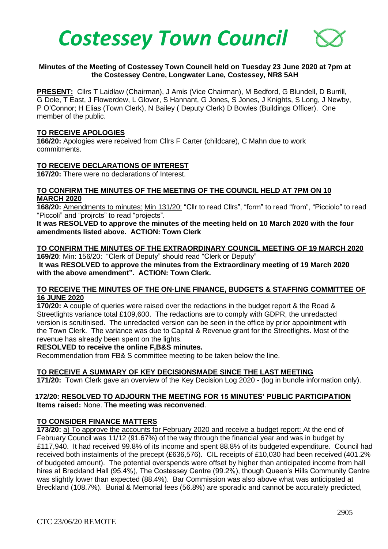

## **Minutes of the Meeting of Costessey Town Council held on Tuesday 23 June 2020 at 7pm at the Costessey Centre, Longwater Lane, Costessey, NR8 5AH**

**PRESENT:** Cllrs T Laidlaw (Chairman), J Amis (Vice Chairman), M Bedford, G Blundell, D Burrill, G Dole, T East, J Flowerdew, L Glover, S Hannant, G Jones, S Jones, J Knights, S Long, J Newby, P O'Connor; H Elias (Town Clerk), N Bailey ( Deputy Clerk) D Bowles (Buildings Officer). One member of the public.

#### **TO RECEIVE APOLOGIES**

**166/20:** Apologies were received from Cllrs F Carter (childcare), C Mahn due to work commitments.

## **TO RECEIVE DECLARATIONS OF INTEREST**

**167/20:** There were no declarations of Interest.

## **TO CONFIRM THE MINUTES OF THE MEETING OF THE COUNCIL HELD AT 7PM ON 10 MARCH 2020**

**168/20:** Amendments to minutes: Min 131/20: "Cllr to read Cllrs", "form" to read "from", "Picciolo" to read "Piccoli" and "projrcts" to read "projects".

**It was RESOLVED to approve the minutes of the meeting held on 10 March 2020 with the four amendments listed above. ACTION: Town Clerk**

# **TO CONFIRM THE MINUTES OF THE EXTRAORDINARY COUNCIL MEETING OF 19 MARCH 2020**

**169/20**: Min: 156/20: "Clerk of Deputy" should read "Clerk or Deputy" **It was RESOLVED to approve the minutes from the Extraordinary meeting of 19 March 2020 with the above amendment". ACTION: Town Clerk.**

## **TO RECEIVE THE MINUTES OF THE ON-LINE FINANCE, BUDGETS & STAFFING COMMITTEE OF 16 JUNE 2020**

**170/20:** A couple of queries were raised over the redactions in the budget report & the Road & Streetlights variance total £109,600. The redactions are to comply with GDPR, the unredacted version is scrutinised. The unredacted version can be seen in the office by prior appointment with the Town Clerk. The variance was due to Capital & Revenue grant for the Streetlights. Most of the revenue has already been spent on the lights.

#### **RESOLVED to receive the online F,B&S minutes.**

Recommendation from FB& S committee meeting to be taken below the line.

## **TO RECEIVE A SUMMARY OF KEY DECISIONSMADE SINCE THE LAST MEETING**

**171/20:** Town Clerk gave an overview of the Key Decision Log 2020 - (log in bundle information only).

## **172/20: RESOLVED TO ADJOURN THE MEETING FOR 15 MINUTES' PUBLIC PARTICIPATION Items raised:** None. **The meeting was reconvened**.

#### **TO CONSIDER FINANCE MATTERS**

**173/20:** a) To approve the accounts for February 2020 and receive a budget report: At the end of February Council was 11/12 (91.67%) of the way through the financial year and was in budget by £117,940. It had received 99.8% of its income and spent 88.8% of its budgeted expenditure. Council had received both instalments of the precept (£636,576). CIL receipts of £10,030 had been received (401.2% of budgeted amount). The potential overspends were offset by higher than anticipated income from hall hires at Breckland Hall (95.4%), The Costessey Centre (99.2%), though Queen's Hills Community Centre was slightly lower than expected (88.4%). Bar Commission was also above what was anticipated at Breckland (108.7%). Burial & Memorial fees (56.8%) are sporadic and cannot be accurately predicted,